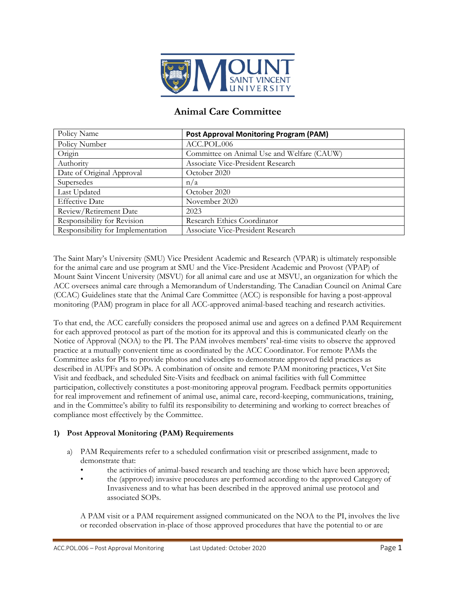

# **Animal Care Committee**

| Policy Name                       | <b>Post Approval Monitoring Program (PAM)</b> |
|-----------------------------------|-----------------------------------------------|
| Policy Number                     | ACC.POL.006                                   |
| Origin                            | Committee on Animal Use and Welfare (CAUW)    |
| Authority                         | Associate Vice-President Research             |
| Date of Original Approval         | October 2020                                  |
| Supersedes                        | n/a                                           |
| Last Updated                      | October 2020                                  |
| <b>Effective Date</b>             | November 2020                                 |
| Review/Retirement Date            | 2023                                          |
| Responsibility for Revision       | Research Ethics Coordinator                   |
| Responsibility for Implementation | Associate Vice-President Research             |

The Saint Mary's University (SMU) Vice President Academic and Research (VPAR) is ultimately responsible for the animal care and use program at SMU and the Vice-President Academic and Provost (VPAP) of Mount Saint Vincent University (MSVU) for all animal care and use at MSVU, an organization for which the ACC oversees animal care through a Memorandum of Understanding. The Canadian Council on Animal Care (CCAC) Guidelines state that the Animal Care Committee (ACC) is responsible for having a post-approval monitoring (PAM) program in place for all ACC-approved animal-based teaching and research activities.

To that end, the ACC carefully considers the proposed animal use and agrees on a defined PAM Requirement for each approved protocol as part of the motion for its approval and this is communicated clearly on the Notice of Approval (NOA) to the PI. The PAM involves members' real-time visits to observe the approved practice at a mutually convenient time as coordinated by the ACC Coordinator. For remote PAMs the Committee asks for PIs to provide photos and videoclips to demonstrate approved field practices as described in AUPFs and SOPs. A combination of onsite and remote PAM monitoring practices, Vet Site Visit and feedback, and scheduled Site-Visits and feedback on animal facilities with full Committee participation, collectively constitutes a post-monitoring approval program. Feedback permits opportunities for real improvement and refinement of animal use, animal care, record-keeping, communications, training, and in the Committee's ability to fulfil its responsibility to determining and working to correct breaches of compliance most effectively by the Committee.

# **1) Post Approval Monitoring (PAM) Requirements**

- a) PAM Requirements refer to a scheduled confirmation visit or prescribed assignment, made to demonstrate that:
	- the activities of animal-based research and teaching are those which have been approved;
	- the (approved) invasive procedures are performed according to the approved Category of Invasiveness and to what has been described in the approved animal use protocol and associated SOPs.

A PAM visit or a PAM requirement assigned communicated on the NOA to the PI, involves the live or recorded observation in-place of those approved procedures that have the potential to or are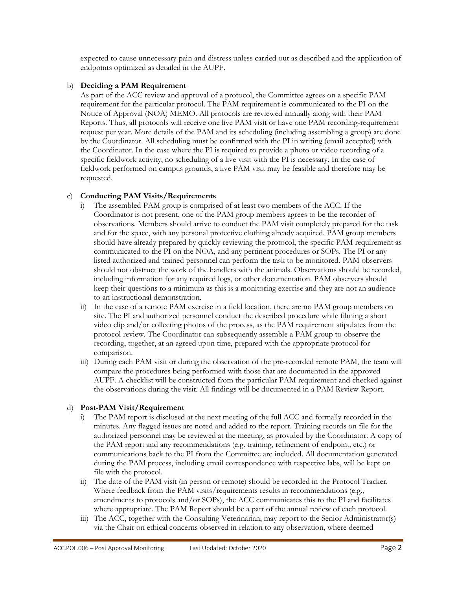expected to cause unnecessary pain and distress unless carried out as described and the application of endpoints optimized as detailed in the AUPF.

## b) **Deciding a PAM Requirement**

As part of the ACC review and approval of a protocol, the Committee agrees on a specific PAM requirement for the particular protocol. The PAM requirement is communicated to the PI on the Notice of Approval (NOA) MEMO. All protocols are reviewed annually along with their PAM Reports. Thus, all protocols will receive one live PAM visit or have one PAM recording-requirement request per year. More details of the PAM and its scheduling (including assembling a group) are done by the Coordinator. All scheduling must be confirmed with the PI in writing (email accepted) with the Coordinator. In the case where the PI is required to provide a photo or video recording of a specific fieldwork activity, no scheduling of a live visit with the PI is necessary. In the case of fieldwork performed on campus grounds, a live PAM visit may be feasible and therefore may be requested.

## c) **Conducting PAM Visits/Requirements**

- i) The assembled PAM group is comprised of at least two members of the ACC. If the Coordinator is not present, one of the PAM group members agrees to be the recorder of observations. Members should arrive to conduct the PAM visit completely prepared for the task and for the space, with any personal protective clothing already acquired. PAM group members should have already prepared by quickly reviewing the protocol, the specific PAM requirement as communicated to the PI on the NOA, and any pertinent procedures or SOPs. The PI or any listed authorized and trained personnel can perform the task to be monitored. PAM observers should not obstruct the work of the handlers with the animals. Observations should be recorded, including information for any required logs, or other documentation. PAM observers should keep their questions to a minimum as this is a monitoring exercise and they are not an audience to an instructional demonstration.
- ii) In the case of a remote PAM exercise in a field location, there are no PAM group members on site. The PI and authorized personnel conduct the described procedure while filming a short video clip and/or collecting photos of the process, as the PAM requirement stipulates from the protocol review. The Coordinator can subsequently assemble a PAM group to observe the recording, together, at an agreed upon time, prepared with the appropriate protocol for comparison.
- iii) During each PAM visit or during the observation of the pre-recorded remote PAM, the team will compare the procedures being performed with those that are documented in the approved AUPF. A checklist will be constructed from the particular PAM requirement and checked against the observations during the visit. All findings will be documented in a PAM Review Report.

## d) **Post-PAM Visit/Requirement**

- i) The PAM report is disclosed at the next meeting of the full ACC and formally recorded in the minutes. Any flagged issues are noted and added to the report. Training records on file for the authorized personnel may be reviewed at the meeting, as provided by the Coordinator. A copy of the PAM report and any recommendations (e.g. training, refinement of endpoint, etc.) or communications back to the PI from the Committee are included. All documentation generated during the PAM process, including email correspondence with respective labs, will be kept on file with the protocol.
- ii) The date of the PAM visit (in person or remote) should be recorded in the Protocol Tracker. Where feedback from the PAM visits/requirements results in recommendations (e.g., amendments to protocols and/or SOPs), the ACC communicates this to the PI and facilitates where appropriate. The PAM Report should be a part of the annual review of each protocol.
- iii) The ACC, together with the Consulting Veterinarian, may report to the Senior Administrator(s) via the Chair on ethical concerns observed in relation to any observation, where deemed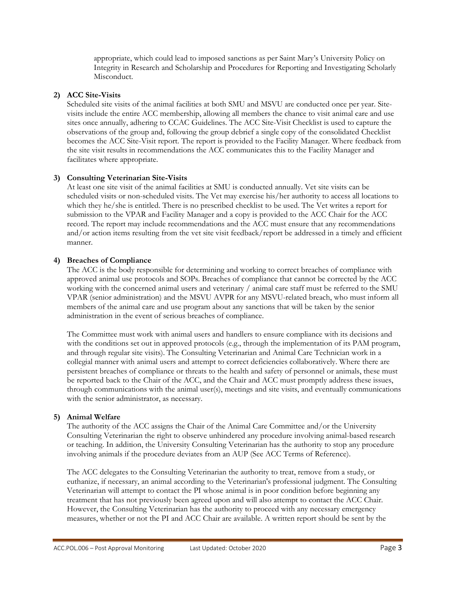appropriate, which could lead to imposed sanctions as per Saint Mary's University Policy on Integrity in Research and Scholarship and Procedures for Reporting and Investigating Scholarly Misconduct.

#### **2) ACC Site-Visits**

Scheduled site visits of the animal facilities at both SMU and MSVU are conducted once per year. Sitevisits include the entire ACC membership, allowing all members the chance to visit animal care and use sites once annually, adhering to CCAC Guidelines. The ACC Site-Visit Checklist is used to capture the observations of the group and, following the group debrief a single copy of the consolidated Checklist becomes the ACC Site-Visit report. The report is provided to the Facility Manager. Where feedback from the site visit results in recommendations the ACC communicates this to the Facility Manager and facilitates where appropriate.

## **3) Consulting Veterinarian Site-Visits**

At least one site visit of the animal facilities at SMU is conducted annually. Vet site visits can be scheduled visits or non-scheduled visits. The Vet may exercise his/her authority to access all locations to which they he/she is entitled. There is no prescribed checklist to be used. The Vet writes a report for submission to the VPAR and Facility Manager and a copy is provided to the ACC Chair for the ACC record. The report may include recommendations and the ACC must ensure that any recommendations and/or action items resulting from the vet site visit feedback/report be addressed in a timely and efficient manner.

#### **4) Breaches of Compliance**

The ACC is the body responsible for determining and working to correct breaches of compliance with approved animal use protocols and SOPs. Breaches of compliance that cannot be corrected by the ACC working with the concerned animal users and veterinary / animal care staff must be referred to the SMU VPAR (senior administration) and the MSVU AVPR for any MSVU-related breach, who must inform all members of the animal care and use program about any sanctions that will be taken by the senior administration in the event of serious breaches of compliance.

The Committee must work with animal users and handlers to ensure compliance with its decisions and with the conditions set out in approved protocols (e.g., through the implementation of its PAM program, and through regular site visits). The Consulting Veterinarian and Animal Care Technician work in a collegial manner with animal users and attempt to correct deficiencies collaboratively. Where there are persistent breaches of compliance or threats to the health and safety of personnel or animals, these must be reported back to the Chair of the ACC, and the Chair and ACC must promptly address these issues, through communications with the animal user(s), meetings and site visits, and eventually communications with the senior administrator, as necessary.

## **5) Animal Welfare**

The authority of the ACC assigns the Chair of the Animal Care Committee and/or the University Consulting Veterinarian the right to observe unhindered any procedure involving animal-based research or teaching. In addition, the University Consulting Veterinarian has the authority to stop any procedure involving animals if the procedure deviates from an AUP (See ACC Terms of Reference).

The ACC delegates to the Consulting Veterinarian the authority to treat, remove from a study, or euthanize, if necessary, an animal according to the Veterinarian's professional judgment. The Consulting Veterinarian will attempt to contact the PI whose animal is in poor condition before beginning any treatment that has not previously been agreed upon and will also attempt to contact the ACC Chair. However, the Consulting Veterinarian has the authority to proceed with any necessary emergency measures, whether or not the PI and ACC Chair are available. A written report should be sent by the